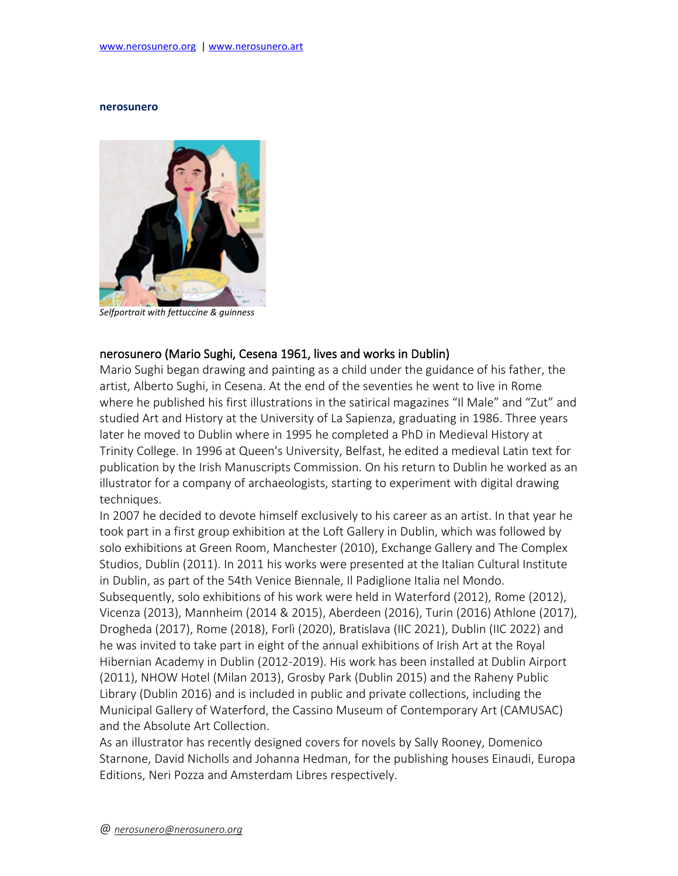### **nerosunero**



*Selfportrait with fettuccine & guinness*

## nerosunero (Mario Sughi, Cesena 1961, lives and works in Dublin)

Mario Sughi began drawing and painting as a child under the guidance of his father, the artist, Alberto Sughi, in Cesena. At the end of the seventies he went to live in Rome where he published his first illustrations in the satirical magazines "Il Male" and "Zut" and studied Art and History at the University of La Sapienza, graduating in 1986. Three years later he moved to Dublin where in 1995 he completed a PhD in Medieval History at Trinity College. In 1996 at Queen's University, Belfast, he edited a medieval Latin text for publication by the Irish Manuscripts Commission. On his return to Dublin he worked as an illustrator for a company of archaeologists, starting to experiment with digital drawing techniques.

In 2007 he decided to devote himself exclusively to his career as an artist. In that year he took part in a first group exhibition at the Loft Gallery in Dublin, which was followed by solo exhibitions at Green Room, Manchester (2010), Exchange Gallery and The Complex Studios, Dublin (2011). In 2011 his works were presented at the Italian Cultural Institute in Dublin, as part of the 54th Venice Biennale, Il Padiglione Italia nel Mondo. Subsequently, solo exhibitions of his work were held in Waterford (2012), Rome (2012), Vicenza (2013), Mannheim (2014 & 2015), Aberdeen (2016), Turin (2016) Athlone (2017), Drogheda (2017), Rome (2018), Forlì (2020), Bratislava (IIC 2021), Dublin (IIC 2022) and he was invited to take part in eight of the annual exhibitions of Irish Art at the Royal Hibernian Academy in Dublin (2012-2019). His work has been installed at Dublin Airport (2011), NHOW Hotel (Milan 2013), Grosby Park (Dublin 2015) and the Raheny Public Library (Dublin 2016) and is included in public and private collections, including the Municipal Gallery of Waterford, the Cassino Museum of Contemporary Art (CAMUSAC) and the Absolute Art Collection.

As an illustrator has recently designed covers for novels by Sally Rooney, Domenico Starnone, David Nicholls and Johanna Hedman, for the publishing houses Einaudi, Europa Editions, Neri Pozza and Amsterdam Libres respectively.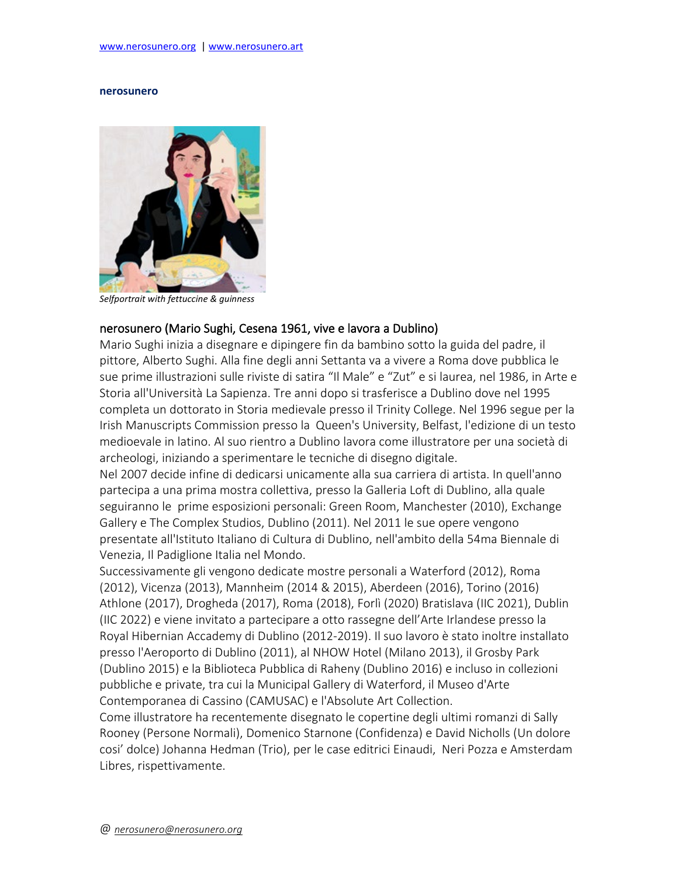### **nerosunero**



*Selfportrait with fettuccine & guinness*

# nerosunero (Mario Sughi, Cesena 1961, vive e lavora a Dublino)

Mario Sughi inizia a disegnare e dipingere fin da bambino sotto la guida del padre, il pittore, Alberto Sughi. Alla fine degli anni Settanta va a vivere a Roma dove pubblica le sue prime illustrazioni sulle riviste di satira "Il Male" e "Zut" e si laurea, nel 1986, in Arte e Storia all'Università La Sapienza. Tre anni dopo si trasferisce a Dublino dove nel 1995 completa un dottorato in Storia medievale presso il Trinity College. Nel 1996 segue per la Irish Manuscripts Commission presso la Queen's University, Belfast, l'edizione di un testo medioevale in latino. Al suo rientro a Dublino lavora come illustratore per una società di archeologi, iniziando a sperimentare le tecniche di disegno digitale.

Nel 2007 decide infine di dedicarsi unicamente alla sua carriera di artista. In quell'anno partecipa a una prima mostra collettiva, presso la Galleria Loft di Dublino, alla quale seguiranno le prime esposizioni personali: Green Room, Manchester (2010), Exchange Gallery e The Complex Studios, Dublino (2011). Nel 2011 le sue opere vengono presentate all'Istituto Italiano di Cultura di Dublino, nell'ambito della 54ma Biennale di Venezia, Il Padiglione Italia nel Mondo.

Successivamente gli vengono dedicate mostre personali a Waterford (2012), Roma (2012), Vicenza (2013), Mannheim (2014 & 2015), Aberdeen (2016), Torino (2016) Athlone (2017), Drogheda (2017), Roma (2018), Forlì (2020) Bratislava (IIC 2021), Dublin (IIC 2022) e viene invitato a partecipare a otto rassegne dell'Arte Irlandese presso la Royal Hibernian Accademy di Dublino (2012-2019). Il suo lavoro è stato inoltre installato presso l'Aeroporto di Dublino (2011), al NHOW Hotel (Milano 2013), il Grosby Park (Dublino 2015) e la Biblioteca Pubblica di Raheny (Dublino 2016) e incluso in collezioni pubbliche e private, tra cui la Municipal Gallery di Waterford, il Museo d'Arte Contemporanea di Cassino (CAMUSAC) e l'Absolute Art Collection.

Come illustratore ha recentemente disegnato le copertine degli ultimi romanzi di Sally Rooney (Persone Normali), Domenico Starnone (Confidenza) e David Nicholls (Un dolore cosi' dolce) Johanna Hedman (Trio), per le case editrici Einaudi, Neri Pozza e Amsterdam Libres, rispettivamente.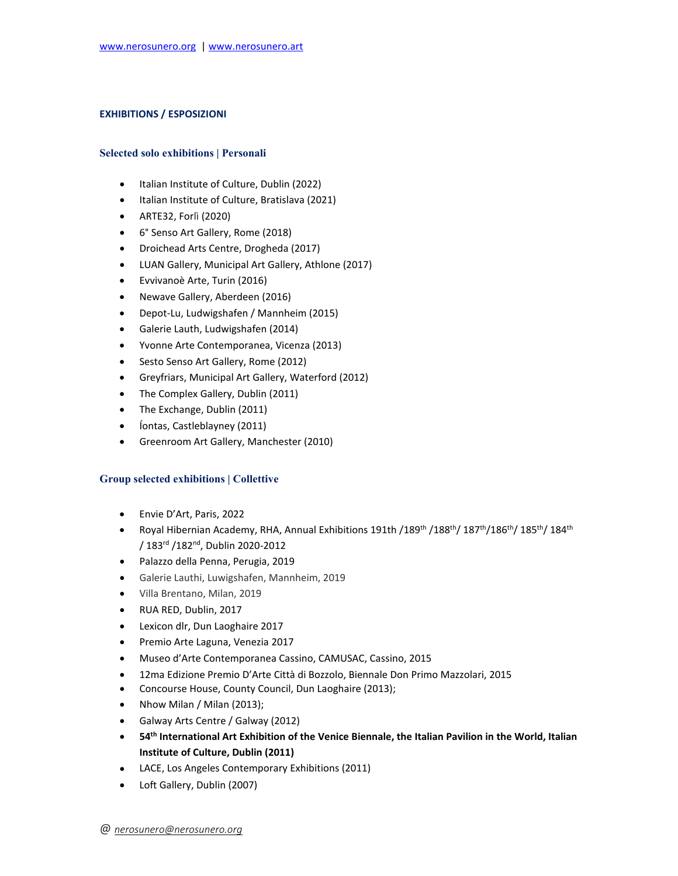#### **EXHIBITIONS / ESPOSIZIONI**

#### **Selected solo exhibitions | Personali**

- Italian Institute of Culture, Dublin (2022)
- Italian Institute of Culture, Bratislava (2021)
- ARTE32, Forlì (2020)
- 6° Senso Art Gallery, Rome (2018)
- Droichead Arts Centre, Drogheda (2017)
- LUAN Gallery, Municipal Art Gallery, Athlone (2017)
- Evvivanoè Arte, Turin (2016)
- Newave Gallery, Aberdeen (2016)
- Depot-Lu, Ludwigshafen / Mannheim (2015)
- Galerie Lauth, Ludwigshafen (2014)
- Yvonne Arte Contemporanea, Vicenza (2013)
- Sesto Senso Art Gallery, Rome (2012)
- Greyfriars, Municipal Art Gallery, Waterford (2012)
- The Complex Gallery, Dublin (2011)
- The Exchange, Dublin (2011)
- Íontas, Castleblayney (2011)
- Greenroom Art Gallery, Manchester (2010)

## **Group selected exhibitions | Collettive**

- Envie D'Art, Paris, 2022
- Royal Hibernian Academy, RHA, Annual Exhibitions 191th /189<sup>th</sup> /187<sup>th</sup>/186<sup>th</sup>/185<sup>th</sup>/184<sup>th</sup> / 183rd /182nd, Dublin 2020-2012
- Palazzo della Penna, Perugia, 2019
- Galerie Lauthi, Luwigshafen, Mannheim, 2019
- Villa Brentano, Milan, 2019
- RUA RED, Dublin, 2017
- Lexicon dlr, Dun Laoghaire 2017
- Premio Arte Laguna, Venezia 2017
- Museo d'Arte Contemporanea Cassino, CAMUSAC, Cassino, 2015
- 12ma Edizione Premio D'Arte Città di Bozzolo, Biennale Don Primo Mazzolari, 2015
- Concourse House, County Council, Dun Laoghaire (2013);
- Nhow Milan / Milan (2013);
- Galway Arts Centre / Galway (2012)
- **54th International Art Exhibition of the Venice Biennale, the Italian Pavilion in the World, Italian Institute of Culture, Dublin (2011)**
- LACE, Los Angeles Contemporary Exhibitions (2011)
- Loft Gallery, Dublin (2007)